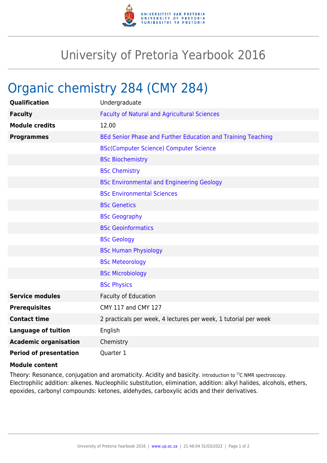

## University of Pretoria Yearbook 2016

## Organic chemistry 284 (CMY 284)

| <b>Qualification</b>          | Undergraduate                                                   |
|-------------------------------|-----------------------------------------------------------------|
| <b>Faculty</b>                | <b>Faculty of Natural and Agricultural Sciences</b>             |
| <b>Module credits</b>         | 12.00                                                           |
| <b>Programmes</b>             | BEd Senior Phase and Further Education and Training Teaching    |
|                               | <b>BSc(Computer Science) Computer Science</b>                   |
|                               | <b>BSc Biochemistry</b>                                         |
|                               | <b>BSc Chemistry</b>                                            |
|                               | <b>BSc Environmental and Engineering Geology</b>                |
|                               | <b>BSc Environmental Sciences</b>                               |
|                               | <b>BSc Genetics</b>                                             |
|                               | <b>BSc Geography</b>                                            |
|                               | <b>BSc Geoinformatics</b>                                       |
|                               | <b>BSc Geology</b>                                              |
|                               | <b>BSc Human Physiology</b>                                     |
|                               | <b>BSc Meteorology</b>                                          |
|                               | <b>BSc Microbiology</b>                                         |
|                               | <b>BSc Physics</b>                                              |
| <b>Service modules</b>        | <b>Faculty of Education</b>                                     |
| <b>Prerequisites</b>          | CMY 117 and CMY 127                                             |
| <b>Contact time</b>           | 2 practicals per week, 4 lectures per week, 1 tutorial per week |
| <b>Language of tuition</b>    | English                                                         |
| <b>Academic organisation</b>  | Chemistry                                                       |
| <b>Period of presentation</b> | Quarter 1                                                       |

## **Module content**

Theory: Resonance, conjugation and aromaticity. Acidity and basicity. Introduction to <sup>13</sup>C NMR spectroscopy. Electrophilic addition: alkenes. Nucleophilic substitution, elimination, addition: alkyl halides, alcohols, ethers, epoxides, carbonyl compounds: ketones, aldehydes, carboxylic acids and their derivatives.